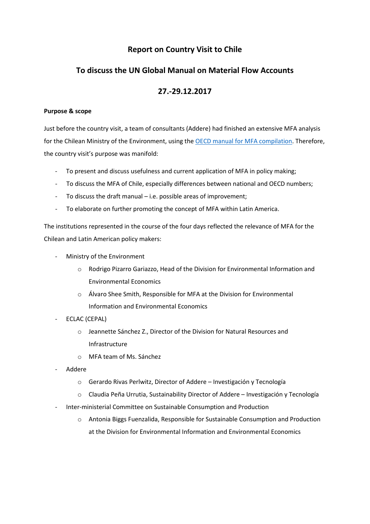# **Report on Country Visit to Chile**

# **To discuss the UN Global Manual on Material Flow Accounts**

# **27.-29.12.2017**

## **Purpose & scope**

Just before the country visit, a team of consultants (Addere) had finished an extensive MFA analysis for the Chilean Ministry of the Environment, using th[e OECD manual for MFA compilation.](https://www.oecd.org/env/indicators-modelling-outlooks/MFA-Accounting-Framework.pdf) Therefore, the country visit's purpose was manifold:

- To present and discuss usefulness and current application of MFA in policy making;
- To discuss the MFA of Chile, especially differences between national and OECD numbers;
- To discuss the draft manual i.e. possible areas of improvement;
- To elaborate on further promoting the concept of MFA within Latin America.

The institutions represented in the course of the four days reflected the relevance of MFA for the Chilean and Latin American policy makers:

- Ministry of the Environment
	- o Rodrigo Pizarro Gariazzo, Head of the Division for Environmental Information and Environmental Economics
	- o Álvaro Shee Smith, Responsible for MFA at the Division for Environmental Information and Environmental Economics
- ECLAC (CEPAL)
	- o Jeannette Sánchez Z., Director of the Division for Natural Resources and Infrastructure
	- o MFA team of Ms. Sánchez
- Addere
	- o Gerardo Rivas Perlwitz, Director of Addere Investigación y Tecnología
	- o Claudia Peña Urrutia, Sustainability Director of Addere Investigación y Tecnología
- Inter-ministerial Committee on Sustainable Consumption and Production
	- o Antonia Biggs Fuenzalida, Responsible for Sustainable Consumption and Production at the Division for Environmental Information and Environmental Economics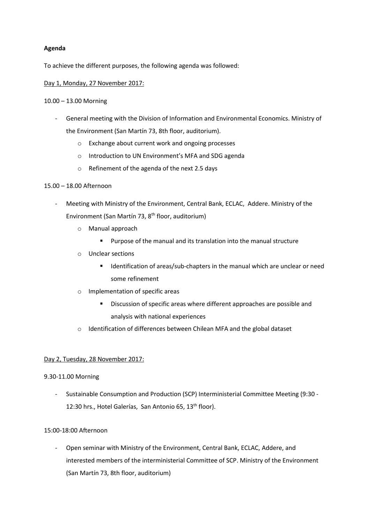## **Agenda**

To achieve the different purposes, the following agenda was followed:

### Day 1, Monday, 27 November 2017:

### 10.00 – 13.00 Morning

- General meeting with the Division of Information and Environmental Economics. Ministry of the Environment (San Martín 73, 8th floor, auditorium).
	- o Exchange about current work and ongoing processes
	- o Introduction to UN Environment's MFA and SDG agenda
	- o Refinement of the agenda of the next 2.5 days

## 15.00 – 18.00 Afternoon

- Meeting with Ministry of the Environment, Central Bank, ECLAC, Addere. Ministry of the Environment (San Martín 73, 8<sup>th</sup> floor, auditorium)
	- o Manual approach
		- **Purpose of the manual and its translation into the manual structure**
	- o Unclear sections
		- **If all identification of areas/sub-chapters in the manual which are unclear or need** some refinement
	- o Implementation of specific areas
		- **Discussion of specific areas where different approaches are possible and** analysis with national experiences
	- o Identification of differences between Chilean MFA and the global dataset

## Day 2, Tuesday, 28 November 2017:

### 9.30-11.00 Morning

- Sustainable Consumption and Production (SCP) Interministerial Committee Meeting (9:30 - 12:30 hrs., Hotel Galerías, San Antonio 65, 13<sup>th</sup> floor).

### 15:00-18:00 Afternoon

- Open seminar with Ministry of the Environment, Central Bank, ECLAC, Addere, and interested members of the interministerial Committee of SCP. Ministry of the Environment (San Martín 73, 8th floor, auditorium)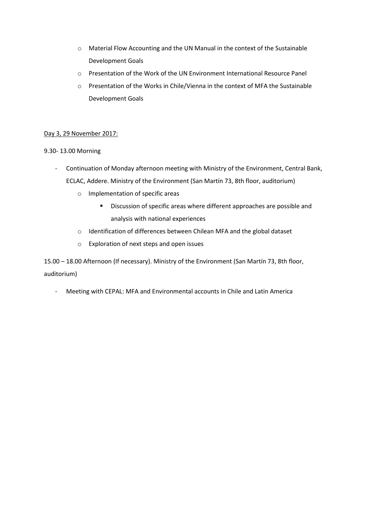- o Material Flow Accounting and the UN Manual in the context of the Sustainable Development Goals
- o Presentation of the Work of the UN Environment International Resource Panel
- o Presentation of the Works in Chile/Vienna in the context of MFA the Sustainable Development Goals

## Day 3, 29 November 2017:

## 9.30- 13.00 Morning

- Continuation of Monday afternoon meeting with Ministry of the Environment, Central Bank, ECLAC, Addere. Ministry of the Environment (San Martín 73, 8th floor, auditorium)
	- o Implementation of specific areas
		- **Discussion of specific areas where different approaches are possible and** analysis with national experiences
	- o Identification of differences between Chilean MFA and the global dataset
	- o Exploration of next steps and open issues

15.00 – 18.00 Afternoon (If necessary). Ministry of the Environment (San Martín 73, 8th floor, auditorium)

- Meeting with CEPAL: MFA and Environmental accounts in Chile and Latin America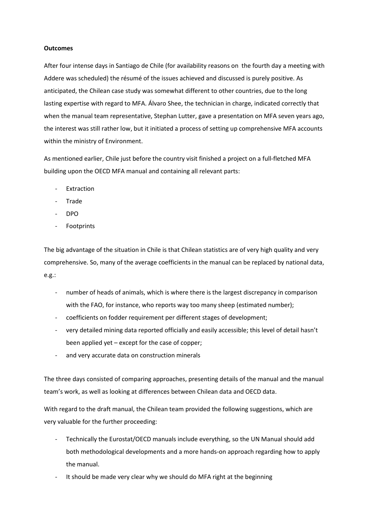#### **Outcomes**

After four intense days in Santiago de Chile (for availability reasons on the fourth day a meeting with Addere was scheduled) the résumé of the issues achieved and discussed is purely positive. As anticipated, the Chilean case study was somewhat different to other countries, due to the long lasting expertise with regard to MFA. Álvaro Shee, the technician in charge, indicated correctly that when the manual team representative, Stephan Lutter, gave a presentation on MFA seven years ago, the interest was still rather low, but it initiated a process of setting up comprehensive MFA accounts within the ministry of Environment.

As mentioned earlier, Chile just before the country visit finished a project on a full-fletched MFA building upon the OECD MFA manual and containing all relevant parts:

- **Extraction**
- **Trade**
- DPO
- **Footprints**

The big advantage of the situation in Chile is that Chilean statistics are of very high quality and very comprehensive. So, many of the average coefficients in the manual can be replaced by national data, e.g.:

- number of heads of animals, which is where there is the largest discrepancy in comparison with the FAO, for instance, who reports way too many sheep (estimated number);
- coefficients on fodder requirement per different stages of development;
- very detailed mining data reported officially and easily accessible; this level of detail hasn't been applied yet – except for the case of copper;
- and very accurate data on construction minerals

The three days consisted of comparing approaches, presenting details of the manual and the manual team's work, as well as looking at differences between Chilean data and OECD data.

With regard to the draft manual, the Chilean team provided the following suggestions, which are very valuable for the further proceeding:

- Technically the Eurostat/OECD manuals include everything, so the UN Manual should add both methodological developments and a more hands-on approach regarding how to apply the manual.
- It should be made very clear why we should do MFA right at the beginning